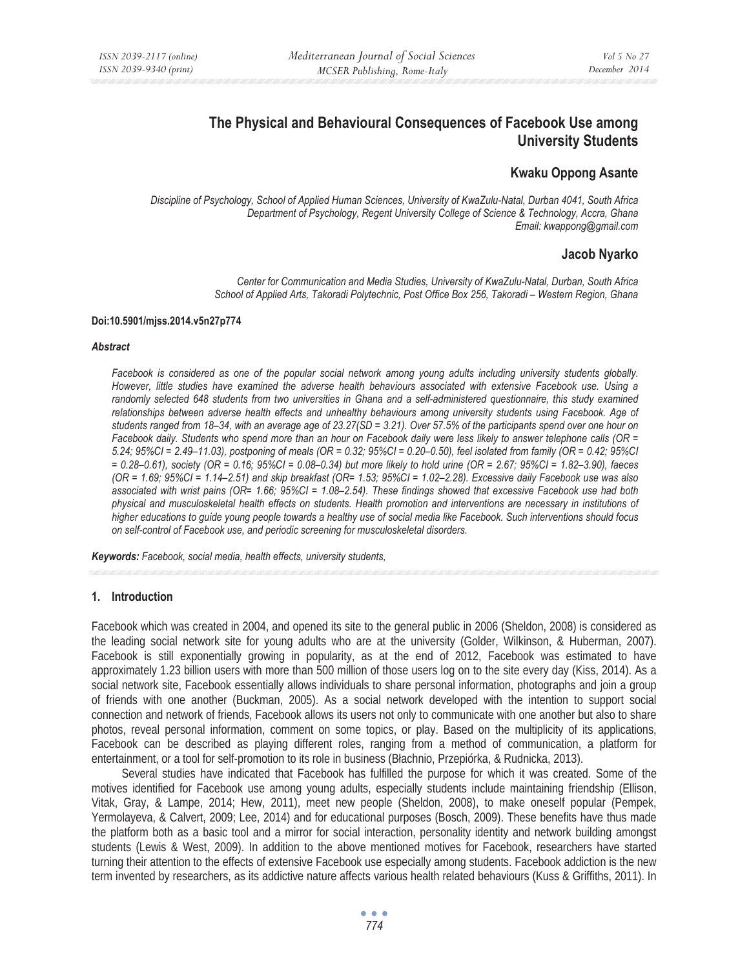# **The Physical and Behavioural Consequences of Facebook Use among University Students**

# **Kwaku Oppong Asante**

*Discipline of Psychology, School of Applied Human Sciences, University of KwaZulu-Natal, Durban 4041, South Africa Department of Psychology, Regent University College of Science & Technology, Accra, Ghana Email: kwappong@gmail.com* 

# **Jacob Nyarko**

*Center for Communication and Media Studies, University of KwaZulu-Natal, Durban, South Africa School of Applied Arts, Takoradi Polytechnic, Post Office Box 256, Takoradi – Western Region, Ghana* 

#### **Doi:10.5901/mjss.2014.v5n27p774**

#### *Abstract*

*Facebook is considered as one of the popular social network among young adults including university students globally. However, little studies have examined the adverse health behaviours associated with extensive Facebook use. Using a randomly selected 648 students from two universities in Ghana and a self-administered questionnaire, this study examined relationships between adverse health effects and unhealthy behaviours among university students using Facebook. Age of students ranged from 18–34, with an average age of 23.27(SD = 3.21). Over 57.5% of the participants spend over one hour on Facebook daily. Students who spend more than an hour on Facebook daily were less likely to answer telephone calls (OR = 5.24; 95%CI = 2.49–11.03), postponing of meals (OR = 0.32; 95%CI = 0.20–0.50), feel isolated from family (OR = 0.42; 95%CI = 0.28–0.61), society (OR = 0.16; 95%CI = 0.08–0.34) but more likely to hold urine (OR = 2.67; 95%CI = 1.82–3.90), faeces (OR = 1.69; 95%CI = 1.14–2.51) and skip breakfast (OR= 1.53; 95%CI = 1.02–2.28). Excessive daily Facebook use was also associated with wrist pains (OR= 1.66; 95%CI = 1.08–2.54). These findings showed that excessive Facebook use had both physical and musculoskeletal health effects on students. Health promotion and interventions are necessary in institutions of higher educations to guide young people towards a healthy use of social media like Facebook. Such interventions should focus on self-control of Facebook use, and periodic screening for musculoskeletal disorders.* 

*Keywords: Facebook, social media, health effects, university students,* 

# **1. Introduction**

Facebook which was created in 2004, and opened its site to the general public in 2006 (Sheldon, 2008) is considered as the leading social network site for young adults who are at the university (Golder, Wilkinson, & Huberman, 2007). Facebook is still exponentially growing in popularity, as at the end of 2012, Facebook was estimated to have approximately 1.23 billion users with more than 500 million of those users log on to the site every day (Kiss, 2014). As a social network site, Facebook essentially allows individuals to share personal information, photographs and join a group of friends with one another (Buckman, 2005). As a social network developed with the intention to support social connection and network of friends, Facebook allows its users not only to communicate with one another but also to share photos, reveal personal information, comment on some topics, or play. Based on the multiplicity of its applications, Facebook can be described as playing different roles, ranging from a method of communication, a platform for entertainment, or a tool for self-promotion to its role in business (Báachnio, Przepiórka, & Rudnicka, 2013).

Several studies have indicated that Facebook has fulfilled the purpose for which it was created. Some of the motives identified for Facebook use among young adults, especially students include maintaining friendship (Ellison, Vitak, Gray, & Lampe, 2014; Hew, 2011), meet new people (Sheldon, 2008), to make oneself popular (Pempek, Yermolayeva, & Calvert, 2009; Lee, 2014) and for educational purposes (Bosch, 2009). These benefits have thus made the platform both as a basic tool and a mirror for social interaction, personality identity and network building amongst students (Lewis & West, 2009). In addition to the above mentioned motives for Facebook, researchers have started turning their attention to the effects of extensive Facebook use especially among students. Facebook addiction is the new term invented by researchers, as its addictive nature affects various health related behaviours (Kuss & Griffiths, 2011). In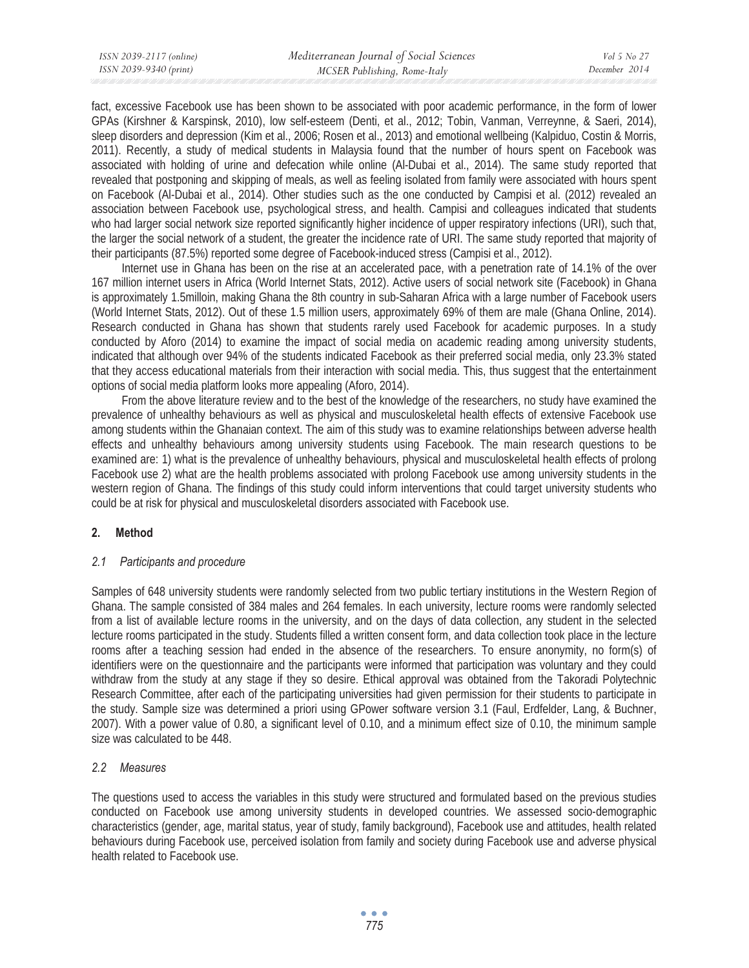fact, excessive Facebook use has been shown to be associated with poor academic performance, in the form of lower GPAs (Kirshner & Karspinsk, 2010), low self-esteem (Denti, et al., 2012; Tobin, Vanman, Verreynne, & Saeri, 2014), sleep disorders and depression (Kim et al., 2006; Rosen et al., 2013) and emotional wellbeing (Kalpiduo, Costin & Morris, 2011). Recently, a study of medical students in Malaysia found that the number of hours spent on Facebook was associated with holding of urine and defecation while online (Al-Dubai et al., 2014). The same study reported that revealed that postponing and skipping of meals, as well as feeling isolated from family were associated with hours spent on Facebook (Al-Dubai et al., 2014). Other studies such as the one conducted by Campisi et al. (2012) revealed an association between Facebook use, psychological stress, and health. Campisi and colleagues indicated that students who had larger social network size reported significantly higher incidence of upper respiratory infections (URI), such that, the larger the social network of a student, the greater the incidence rate of URI. The same study reported that majority of their participants (87.5%) reported some degree of Facebook-induced stress (Campisi et al., 2012).

Internet use in Ghana has been on the rise at an accelerated pace, with a penetration rate of 14.1% of the over 167 million internet users in Africa (World Internet Stats, 2012). Active users of social network site (Facebook) in Ghana is approximately 1.5milloin, making Ghana the 8th country in sub-Saharan Africa with a large number of Facebook users (World Internet Stats, 2012). Out of these 1.5 million users, approximately 69% of them are male (Ghana Online, 2014). Research conducted in Ghana has shown that students rarely used Facebook for academic purposes. In a study conducted by Aforo (2014) to examine the impact of social media on academic reading among university students, indicated that although over 94% of the students indicated Facebook as their preferred social media, only 23.3% stated that they access educational materials from their interaction with social media. This, thus suggest that the entertainment options of social media platform looks more appealing (Aforo, 2014).

From the above literature review and to the best of the knowledge of the researchers, no study have examined the prevalence of unhealthy behaviours as well as physical and musculoskeletal health effects of extensive Facebook use among students within the Ghanaian context. The aim of this study was to examine relationships between adverse health effects and unhealthy behaviours among university students using Facebook. The main research questions to be examined are: 1) what is the prevalence of unhealthy behaviours, physical and musculoskeletal health effects of prolong Facebook use 2) what are the health problems associated with prolong Facebook use among university students in the western region of Ghana. The findings of this study could inform interventions that could target university students who could be at risk for physical and musculoskeletal disorders associated with Facebook use.

# **2. Method**

# *2.1 Participants and procedure*

Samples of 648 university students were randomly selected from two public tertiary institutions in the Western Region of Ghana. The sample consisted of 384 males and 264 females. In each university, lecture rooms were randomly selected from a list of available lecture rooms in the university, and on the days of data collection, any student in the selected lecture rooms participated in the study. Students filled a written consent form, and data collection took place in the lecture rooms after a teaching session had ended in the absence of the researchers. To ensure anonymity, no form(s) of identifiers were on the questionnaire and the participants were informed that participation was voluntary and they could withdraw from the study at any stage if they so desire. Ethical approval was obtained from the Takoradi Polytechnic Research Committee, after each of the participating universities had given permission for their students to participate in the study. Sample size was determined a priori using GPower software version 3.1 (Faul, Erdfelder, Lang, & Buchner, 2007). With a power value of 0.80, a significant level of 0.10, and a minimum effect size of 0.10, the minimum sample size was calculated to be 448.

# *2.2 Measures*

The questions used to access the variables in this study were structured and formulated based on the previous studies conducted on Facebook use among university students in developed countries. We assessed socio-demographic characteristics (gender, age, marital status, year of study, family background), Facebook use and attitudes, health related behaviours during Facebook use, perceived isolation from family and society during Facebook use and adverse physical health related to Facebook use.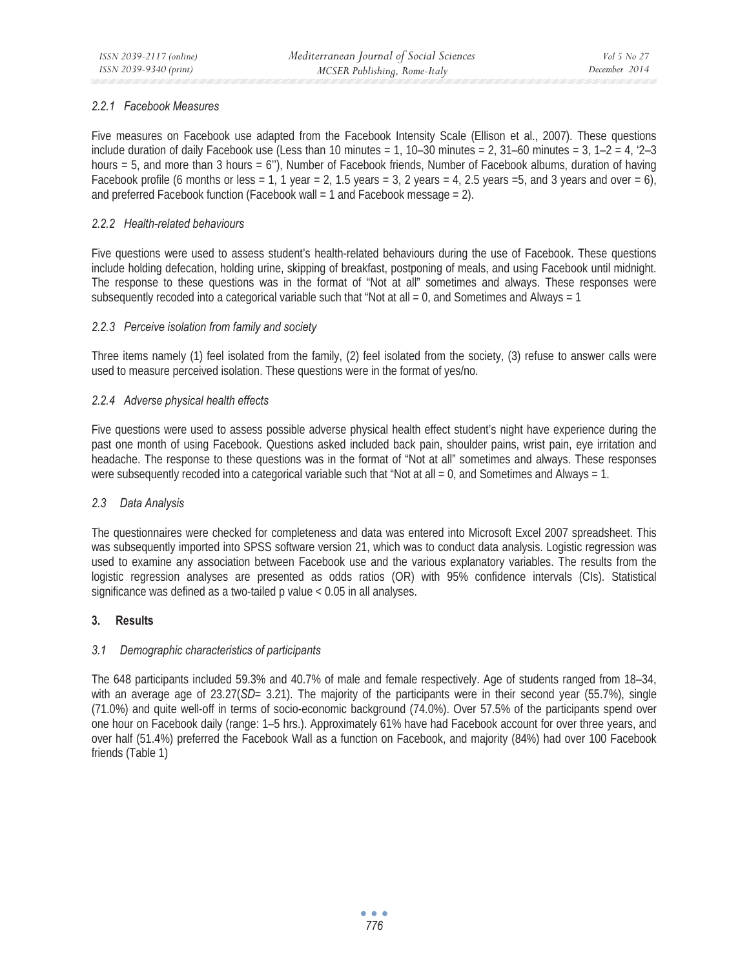# *2.2.1 Facebook Measures*

Five measures on Facebook use adapted from the Facebook Intensity Scale (Ellison et al., 2007). These questions include duration of daily Facebook use (Less than 10 minutes = 1, 10–30 minutes = 2, 31–60 minutes = 3, 1–2 = 4,  $2-3$ hours = 5, and more than 3 hours = 6"), Number of Facebook friends, Number of Facebook albums, duration of having Facebook profile (6 months or less = 1, 1 year = 2, 1.5 years = 3, 2 years = 4, 2.5 years =5, and 3 years and over = 6), and preferred Facebook function (Facebook wall = 1 and Facebook message = 2).

# *2.2.2 Health-related behaviours*

Five questions were used to assess student's health-related behaviours during the use of Facebook. These questions include holding defecation, holding urine, skipping of breakfast, postponing of meals, and using Facebook until midnight. The response to these questions was in the format of "Not at all" sometimes and always. These responses were subsequently recoded into a categorical variable such that "Not at all = 0, and Sometimes and Always = 1

# *2.2.3 Perceive isolation from family and society*

Three items namely (1) feel isolated from the family, (2) feel isolated from the society, (3) refuse to answer calls were used to measure perceived isolation. These questions were in the format of yes/no.

# *2.2.4 Adverse physical health effects*

Five questions were used to assess possible adverse physical health effect student's night have experience during the past one month of using Facebook. Questions asked included back pain, shoulder pains, wrist pain, eye irritation and headache. The response to these questions was in the format of "Not at all" sometimes and always. These responses were subsequently recoded into a categorical variable such that "Not at all = 0, and Sometimes and Always = 1.

# *2.3 Data Analysis*

The questionnaires were checked for completeness and data was entered into Microsoft Excel 2007 spreadsheet. This was subsequently imported into SPSS software version 21, which was to conduct data analysis. Logistic regression was used to examine any association between Facebook use and the various explanatory variables. The results from the logistic regression analyses are presented as odds ratios (OR) with 95% confidence intervals (CIs). Statistical significance was defined as a two-tailed p value < 0.05 in all analyses.

# **3. Results**

# *3.1 Demographic characteristics of participants*

The 648 participants included 59.3% and 40.7% of male and female respectively. Age of students ranged from 18–34, with an average age of 23.27(*SD*= 3.21). The majority of the participants were in their second year (55.7%), single (71.0%) and quite well-off in terms of socio-economic background (74.0%). Over 57.5% of the participants spend over one hour on Facebook daily (range: 1–5 hrs.). Approximately 61% have had Facebook account for over three years, and over half (51.4%) preferred the Facebook Wall as a function on Facebook, and majority (84%) had over 100 Facebook friends (Table 1)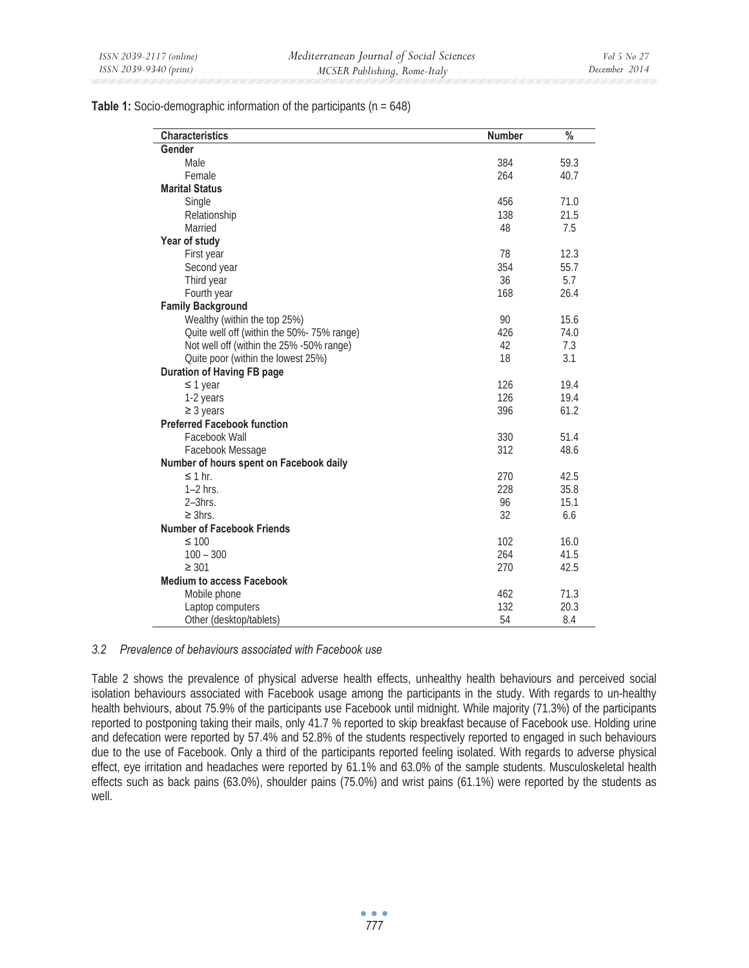# **Table 1:** Socio-demographic information of the participants (n = 648)

| <b>Characteristics</b>                     | <b>Number</b> | $\frac{0}{0}$ |
|--------------------------------------------|---------------|---------------|
| Gender                                     |               |               |
| Male                                       | 384           | 59.3          |
| Female                                     | 264           | 40.7          |
| <b>Marital Status</b>                      |               |               |
| Single                                     | 456           | 71.0          |
| Relationship                               | 138           | 21.5          |
| Married                                    | 48            | 7.5           |
| Year of study                              |               |               |
| First year                                 | 78            | 12.3          |
| Second year                                | 354           | 55.7          |
| Third year                                 | 36            | 5.7           |
| Fourth year                                | 168           | 26.4          |
| <b>Family Background</b>                   |               |               |
| Wealthy (within the top 25%)               | 90            | 15.6          |
| Quite well off (within the 50%- 75% range) | 426           | 74.0          |
| Not well off (within the 25% -50% range)   | 42            | 7.3           |
| Quite poor (within the lowest 25%)         | 18            | 3.1           |
| <b>Duration of Having FB page</b>          |               |               |
| $\leq$ 1 year                              | 126           | 19.4          |
| 1-2 years                                  | 126           | 19.4          |
| $\geq$ 3 years                             | 396           | 61.2          |
| <b>Preferred Facebook function</b>         |               |               |
| Facebook Wall                              | 330           | 51.4          |
| Facebook Message                           | 312           | 48.6          |
| Number of hours spent on Facebook daily    |               |               |
| $\leq$ 1 hr.                               | 270           | 42.5          |
| $1-2$ hrs.                                 | 228           | 35.8          |
| $2-3$ hrs.                                 | 96            | 15.1          |
| $\geq$ 3hrs.                               | 32            | 6.6           |
| <b>Number of Facebook Friends</b>          |               |               |
| $\leq 100$                                 | 102           | 16.0          |
| $100 - 300$                                | 264           | 41.5          |
| $\geq 301$                                 | 270           | 42.5          |
| <b>Medium to access Facebook</b>           |               |               |
| Mobile phone                               | 462           | 71.3          |
| Laptop computers                           | 132           | 20.3          |
| Other (desktop/tablets)                    | 54            | 8.4           |

#### *3.2 Prevalence of behaviours associated with Facebook use*

Table 2 shows the prevalence of physical adverse health effects, unhealthy health behaviours and perceived social isolation behaviours associated with Facebook usage among the participants in the study. With regards to un-healthy health behviours, about 75.9% of the participants use Facebook until midnight. While majority (71.3%) of the participants reported to postponing taking their mails, only 41.7 % reported to skip breakfast because of Facebook use. Holding urine and defecation were reported by 57.4% and 52.8% of the students respectively reported to engaged in such behaviours due to the use of Facebook. Only a third of the participants reported feeling isolated. With regards to adverse physical effect, eye irritation and headaches were reported by 61.1% and 63.0% of the sample students. Musculoskeletal health effects such as back pains (63.0%), shoulder pains (75.0%) and wrist pains (61.1%) were reported by the students as well.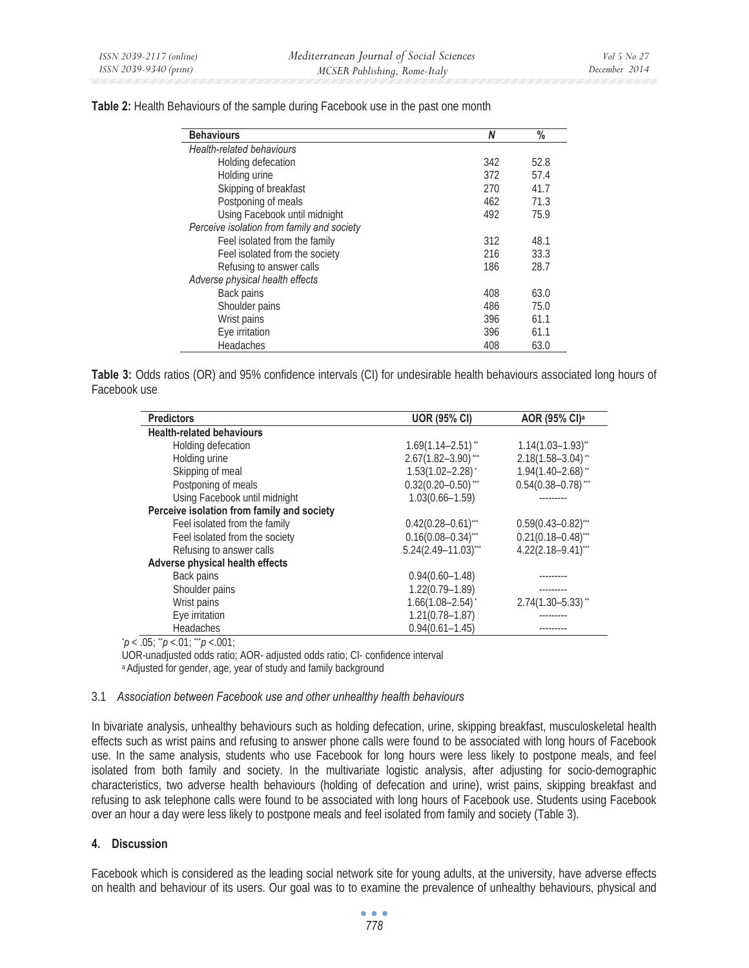| <b>Behaviours</b>                          | N   | %    |
|--------------------------------------------|-----|------|
| <b>Health-related behaviours</b>           |     |      |
| Holding defecation                         | 342 | 52.8 |
| Holding urine                              | 372 | 57.4 |
| Skipping of breakfast                      | 270 | 41.7 |
| Postponing of meals                        | 462 | 71.3 |
| Using Facebook until midnight              | 492 | 75.9 |
| Perceive isolation from family and society |     |      |
| Feel isolated from the family              | 312 | 48.1 |
| Feel isolated from the society             | 216 | 33.3 |
| Refusing to answer calls                   | 186 | 28.7 |
| Adverse physical health effects            |     |      |
| Back pains                                 | 408 | 63.0 |
| Shoulder pains                             | 486 | 75.0 |
| Wrist pains                                | 396 | 61.1 |
| Eye irritation                             | 396 | 61.1 |
| <b>Headaches</b>                           | 408 | 63.0 |

**Table 2:** Health Behaviours of the sample during Facebook use in the past one month

**Table 3:** Odds ratios (OR) and 95% confidence intervals (CI) for undesirable health behaviours associated long hours of Facebook use

| <b>Predictors</b>                          | <b>UOR (95% CI)</b>               | AOR (95% CI) <sup>a</sup>          |
|--------------------------------------------|-----------------------------------|------------------------------------|
| <b>Health-related behaviours</b>           |                                   |                                    |
| Holding defecation                         | $1.69(1.14 - 2.51)$ <sup>**</sup> | $1.14(1.03 - 1.93)^{**}$           |
| Holding urine                              | $2.67(1.82 - 3.90)$ ***           | $2.18(1.58 - 3.04)$ <sup>**</sup>  |
| Skipping of meal                           | $1.53(1.02 - 2.28)$ <sup>*</sup>  | $1.94(1.40 - 2.68)$ <sup>**</sup>  |
| Postponing of meals                        | $0.32(0.20 - 0.50)$ ***           | $0.54(0.38 - 0.78)$ ***            |
| Using Facebook until midnight              | $1.03(0.66 - 1.59)$               |                                    |
| Perceive isolation from family and society |                                   |                                    |
| Feel isolated from the family              | $0.42(0.28 - 0.61)$ ***           | $0.59(0.43 - 0.82)$ ***            |
| Feel isolated from the society             | $0.16(0.08 - 0.34)$ ***           | $0.21(0.18 - 0.48)$ <sup>***</sup> |
| Refusing to answer calls                   | $5.24(2.49 - 11.03)$ ***          | $4.22(2.18 - 9.41)$ ***            |
| Adverse physical health effects            |                                   |                                    |
| Back pains                                 | $0.94(0.60 - 1.48)$               |                                    |
| Shoulder pains                             | $1.22(0.79 - 1.89)$               |                                    |
| Wrist pains                                | $1.66(1.08 - 2.54)^{*}$           | $2.74(1.30 - 5.33)$ "              |
| Eye irritation                             | $1.21(0.78 - 1.87)$               |                                    |
| <b>Headaches</b>                           | $0.94(0.61 - 1.45)$               |                                    |

 $\dot{p}$  < .05;  $\ddot{p}$  < .01;  $\dddot{p}$  < .001;

UOR-unadjusted odds ratio; AOR- adjusted odds ratio; CI- confidence interval a Adjusted for gender, age, year of study and family background

#### 3.1 *Association between Facebook use and other unhealthy health behaviours*

In bivariate analysis, unhealthy behaviours such as holding defecation, urine, skipping breakfast, musculoskeletal health effects such as wrist pains and refusing to answer phone calls were found to be associated with long hours of Facebook use. In the same analysis, students who use Facebook for long hours were less likely to postpone meals, and feel isolated from both family and society. In the multivariate logistic analysis, after adjusting for socio-demographic characteristics, two adverse health behaviours (holding of defecation and urine), wrist pains, skipping breakfast and refusing to ask telephone calls were found to be associated with long hours of Facebook use. Students using Facebook over an hour a day were less likely to postpone meals and feel isolated from family and society (Table 3).

# **4. Discussion**

Facebook which is considered as the leading social network site for young adults, at the university, have adverse effects on health and behaviour of its users. Our goal was to to examine the prevalence of unhealthy behaviours, physical and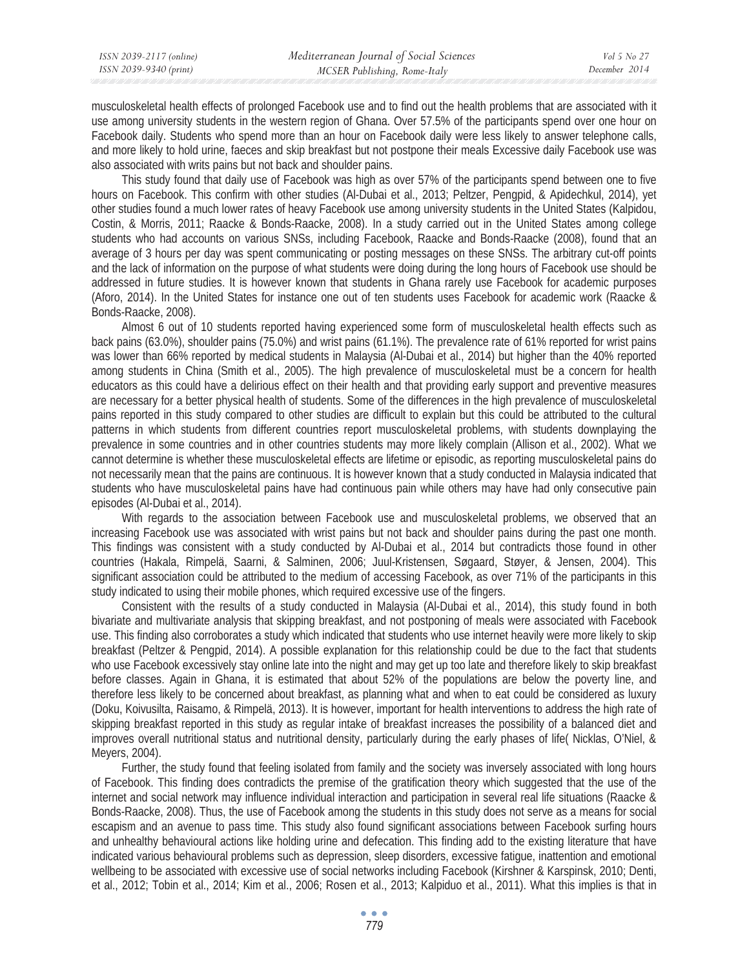| ISSN 2039-2117 (online) | Mediterranean Journal of Social Sciences | Vol 5 No 27   |
|-------------------------|------------------------------------------|---------------|
| ISSN 2039-9340 (print)  | MCSER Publishing, Rome-Italy             | December 2014 |

musculoskeletal health effects of prolonged Facebook use and to find out the health problems that are associated with it use among university students in the western region of Ghana. Over 57.5% of the participants spend over one hour on Facebook daily. Students who spend more than an hour on Facebook daily were less likely to answer telephone calls, and more likely to hold urine, faeces and skip breakfast but not postpone their meals Excessive daily Facebook use was also associated with writs pains but not back and shoulder pains.

This study found that daily use of Facebook was high as over 57% of the participants spend between one to five hours on Facebook. This confirm with other studies (Al-Dubai et al., 2013; Peltzer, Pengpid, & Apidechkul, 2014), yet other studies found a much lower rates of heavy Facebook use among university students in the United States (Kalpidou, Costin, & Morris, 2011; Raacke & Bonds-Raacke, 2008). In a study carried out in the United States among college students who had accounts on various SNSs, including Facebook, Raacke and Bonds-Raacke (2008), found that an average of 3 hours per day was spent communicating or posting messages on these SNSs. The arbitrary cut-off points and the lack of information on the purpose of what students were doing during the long hours of Facebook use should be addressed in future studies. It is however known that students in Ghana rarely use Facebook for academic purposes (Aforo, 2014). In the United States for instance one out of ten students uses Facebook for academic work (Raacke & Bonds-Raacke, 2008).

Almost 6 out of 10 students reported having experienced some form of musculoskeletal health effects such as back pains (63.0%), shoulder pains (75.0%) and wrist pains (61.1%). The prevalence rate of 61% reported for wrist pains was lower than 66% reported by medical students in Malaysia (Al-Dubai et al., 2014) but higher than the 40% reported among students in China (Smith et al., 2005). The high prevalence of musculoskeletal must be a concern for health educators as this could have a delirious effect on their health and that providing early support and preventive measures are necessary for a better physical health of students. Some of the differences in the high prevalence of musculoskeletal pains reported in this study compared to other studies are difficult to explain but this could be attributed to the cultural patterns in which students from different countries report musculoskeletal problems, with students downplaying the prevalence in some countries and in other countries students may more likely complain (Allison et al., 2002). What we cannot determine is whether these musculoskeletal effects are lifetime or episodic, as reporting musculoskeletal pains do not necessarily mean that the pains are continuous. It is however known that a study conducted in Malaysia indicated that students who have musculoskeletal pains have had continuous pain while others may have had only consecutive pain episodes (Al-Dubai et al., 2014).

With regards to the association between Facebook use and musculoskeletal problems, we observed that an increasing Facebook use was associated with wrist pains but not back and shoulder pains during the past one month. This findings was consistent with a study conducted by Al-Dubai et al., 2014 but contradicts those found in other countries (Hakala, Rimpelä, Saarni, & Salminen, 2006; Juul-Kristensen, Søgaard, Støyer, & Jensen, 2004). This significant association could be attributed to the medium of accessing Facebook, as over 71% of the participants in this study indicated to using their mobile phones, which required excessive use of the fingers.

Consistent with the results of a study conducted in Malaysia (Al-Dubai et al., 2014), this study found in both bivariate and multivariate analysis that skipping breakfast, and not postponing of meals were associated with Facebook use. This finding also corroborates a study which indicated that students who use internet heavily were more likely to skip breakfast (Peltzer & Pengpid, 2014). A possible explanation for this relationship could be due to the fact that students who use Facebook excessively stay online late into the night and may get up too late and therefore likely to skip breakfast before classes. Again in Ghana, it is estimated that about 52% of the populations are below the poverty line, and therefore less likely to be concerned about breakfast, as planning what and when to eat could be considered as luxury (Doku, Koivusilta, Raisamo, & Rimpelä, 2013). It is however, important for health interventions to address the high rate of skipping breakfast reported in this study as regular intake of breakfast increases the possibility of a balanced diet and improves overall nutritional status and nutritional density, particularly during the early phases of life( Nicklas, O'Niel, & Meyers, 2004).

Further, the study found that feeling isolated from family and the society was inversely associated with long hours of Facebook. This finding does contradicts the premise of the gratification theory which suggested that the use of the internet and social network may influence individual interaction and participation in several real life situations (Raacke & Bonds-Raacke, 2008). Thus, the use of Facebook among the students in this study does not serve as a means for social escapism and an avenue to pass time. This study also found significant associations between Facebook surfing hours and unhealthy behavioural actions like holding urine and defecation. This finding add to the existing literature that have indicated various behavioural problems such as depression, sleep disorders, excessive fatigue, inattention and emotional wellbeing to be associated with excessive use of social networks including Facebook (Kirshner & Karspinsk, 2010; Denti, et al., 2012; Tobin et al., 2014; Kim et al., 2006; Rosen et al., 2013; Kalpiduo et al., 2011). What this implies is that in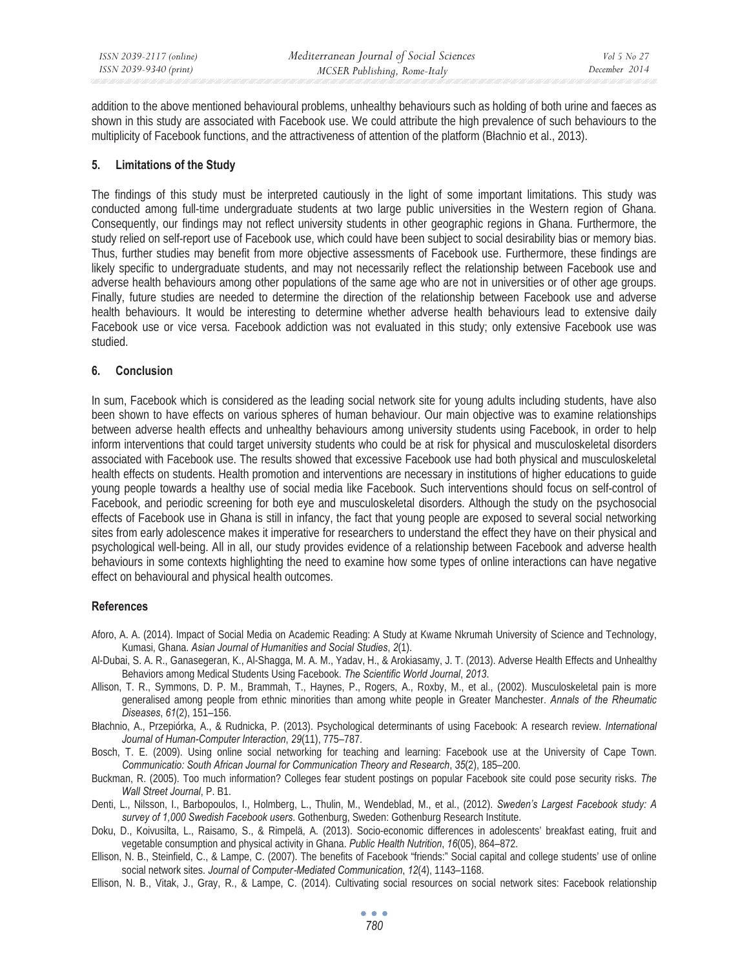addition to the above mentioned behavioural problems, unhealthy behaviours such as holding of both urine and faeces as shown in this study are associated with Facebook use. We could attribute the high prevalence of such behaviours to the multiplicity of Facebook functions, and the attractiveness of attention of the platform (Blachnio et al., 2013).

# **5. Limitations of the Study**

The findings of this study must be interpreted cautiously in the light of some important limitations. This study was conducted among full-time undergraduate students at two large public universities in the Western region of Ghana. Consequently, our findings may not reflect university students in other geographic regions in Ghana. Furthermore, the study relied on self-report use of Facebook use, which could have been subject to social desirability bias or memory bias. Thus, further studies may benefit from more objective assessments of Facebook use. Furthermore, these findings are likely specific to undergraduate students, and may not necessarily reflect the relationship between Facebook use and adverse health behaviours among other populations of the same age who are not in universities or of other age groups. Finally, future studies are needed to determine the direction of the relationship between Facebook use and adverse health behaviours. It would be interesting to determine whether adverse health behaviours lead to extensive daily Facebook use or vice versa. Facebook addiction was not evaluated in this study; only extensive Facebook use was studied.

# **6. Conclusion**

In sum, Facebook which is considered as the leading social network site for young adults including students, have also been shown to have effects on various spheres of human behaviour. Our main objective was to examine relationships between adverse health effects and unhealthy behaviours among university students using Facebook, in order to help inform interventions that could target university students who could be at risk for physical and musculoskeletal disorders associated with Facebook use. The results showed that excessive Facebook use had both physical and musculoskeletal health effects on students. Health promotion and interventions are necessary in institutions of higher educations to guide young people towards a healthy use of social media like Facebook. Such interventions should focus on self-control of Facebook, and periodic screening for both eye and musculoskeletal disorders. Although the study on the psychosocial effects of Facebook use in Ghana is still in infancy, the fact that young people are exposed to several social networking sites from early adolescence makes it imperative for researchers to understand the effect they have on their physical and psychological well-being. All in all, our study provides evidence of a relationship between Facebook and adverse health behaviours in some contexts highlighting the need to examine how some types of online interactions can have negative effect on behavioural and physical health outcomes.

# **References**

- Aforo, A. A. (2014). Impact of Social Media on Academic Reading: A Study at Kwame Nkrumah University of Science and Technology, Kumasi, Ghana. *Asian Journal of Humanities and Social Studies*, *2*(1).
- Al-Dubai, S. A. R., Ganasegeran, K., Al-Shagga, M. A. M., Yadav, H., & Arokiasamy, J. T. (2013). Adverse Health Effects and Unhealthy Behaviors among Medical Students Using Facebook. *The Scientific World Journal*, *2013*.
- Allison, T. R., Symmons, D. P. M., Brammah, T., Haynes, P., Rogers, A., Roxby, M., et al., (2002). Musculoskeletal pain is more generalised among people from ethnic minorities than among white people in Greater Manchester. *Annals of the Rheumatic Diseases*, *61*(2), 151–156.
- Báachnio, A., Przepiórka, A., & Rudnicka, P. (2013). Psychological determinants of using Facebook: A research review. *International Journal of Human-Computer Interaction*, *29*(11), 775–787.
- Bosch, T. E. (2009). Using online social networking for teaching and learning: Facebook use at the University of Cape Town. *Communicatio: South African Journal for Communication Theory and Research*, *35*(2), 185–200.
- Buckman, R. (2005). Too much information? Colleges fear student postings on popular Facebook site could pose security risks. *The Wall Street Journal*, P. B1.
- Denti, L., Nilsson, I., Barbopoulos, I., Holmberg, L., Thulin, M., Wendeblad, M., et al., (2012). *Sweden's Largest Facebook study: A survey of 1,000 Swedish Facebook users*. Gothenburg, Sweden: Gothenburg Research Institute.
- Doku, D., Koivusilta, L., Raisamo, S., & Rimpelä, A. (2013). Socio-economic differences in adolescents' breakfast eating, fruit and vegetable consumption and physical activity in Ghana. *Public Health Nutrition*, *16*(05), 864–872.
- Ellison, N. B., Steinfield, C., & Lampe, C. (2007). The benefits of Facebook "friends:" Social capital and college students' use of online social network sites. *Journal of Computer*Ǧ*Mediated Communication*, *12*(4), 1143–1168.
- Ellison, N. B., Vitak, J., Gray, R., & Lampe, C. (2014). Cultivating social resources on social network sites: Facebook relationship